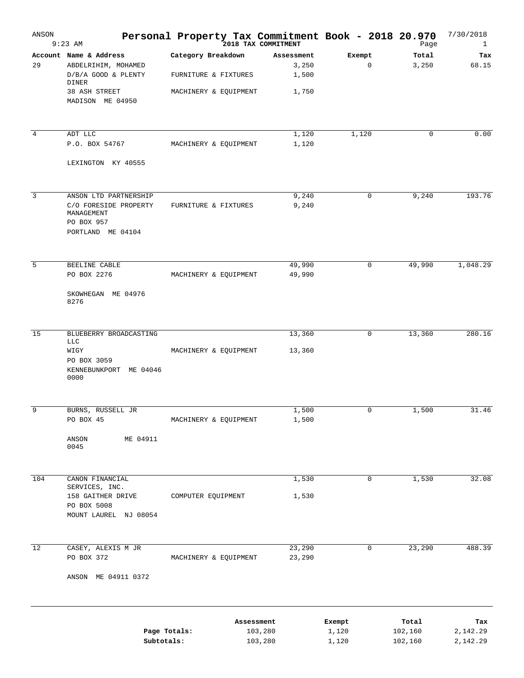| ANSON           | $9:23$ AM                                                                                                          | Personal Property Tax Commitment Book - 2018 20.970<br><sup>2018</sup> TAX COMMITMENT |                                       |                       | Page             | 7/30/2018<br>$\mathbf{1}$ |
|-----------------|--------------------------------------------------------------------------------------------------------------------|---------------------------------------------------------------------------------------|---------------------------------------|-----------------------|------------------|---------------------------|
| 29              | Account Name & Address<br>ABDELRIHIM, MOHAMED<br>D/B/A GOOD & PLENTY<br>DINER<br>38 ASH STREET<br>MADISON ME 04950 | Category Breakdown<br>FURNITURE & FIXTURES<br>MACHINERY & EQUIPMENT                   | Assessment<br>3,250<br>1,500<br>1,750 | Exempt<br>$\mathbf 0$ | Total<br>3,250   | Tax<br>68.15              |
|                 |                                                                                                                    |                                                                                       |                                       |                       |                  |                           |
| $\overline{4}$  | ADT LLC<br>P.O. BOX 54767                                                                                          | MACHINERY & EQUIPMENT                                                                 | 1,120<br>1,120                        | 1,120                 | $\mathbf 0$      | 0.00                      |
|                 | LEXINGTON KY 40555                                                                                                 |                                                                                       |                                       |                       |                  |                           |
| 3               | ANSON LTD PARTNERSHIP<br>C/O FORESIDE PROPERTY<br>MANAGEMENT<br>PO BOX 957<br>PORTLAND ME 04104                    | FURNITURE & FIXTURES                                                                  | 9,240<br>9,240                        | 0                     | 9,240            | 193.76                    |
| 5               | BEELINE CABLE<br>PO BOX 2276                                                                                       | MACHINERY & EQUIPMENT                                                                 | 49,990<br>49,990                      | 0                     | 49,990           | 1,048.29                  |
|                 | SKOWHEGAN ME 04976<br>8276                                                                                         |                                                                                       |                                       |                       |                  |                           |
| 15              | BLUEBERRY BROADCASTING<br>LLC                                                                                      |                                                                                       | 13,360                                | 0                     | 13,360           | 280.16                    |
|                 | WIGY<br>PO BOX 3059<br>KENNEBUNKPORT ME 04046<br>0000                                                              | MACHINERY & EQUIPMENT                                                                 | 13,360                                |                       |                  |                           |
| 9               | BURNS, RUSSELL JR<br>PO BOX 45                                                                                     | MACHINERY & EQUIPMENT                                                                 | 1,500<br>1,500                        | $\mathbf 0$           | 1,500            | 31.46                     |
|                 | ME 04911<br>ANSON<br>0045                                                                                          |                                                                                       |                                       |                       |                  |                           |
| 104             | CANON FINANCIAL                                                                                                    |                                                                                       | 1,530                                 | 0                     | 1,530            | 32.08                     |
|                 | SERVICES, INC.<br>158 GAITHER DRIVE<br>PO BOX 5008<br>MOUNT LAUREL NJ 08054                                        | COMPUTER EQUIPMENT                                                                    | 1,530                                 |                       |                  |                           |
| $\overline{12}$ | CASEY, ALEXIS M JR                                                                                                 |                                                                                       | 23,290                                | 0                     | 23,290           | 488.39                    |
|                 | PO BOX 372<br>ANSON ME 04911 0372                                                                                  | MACHINERY & EQUIPMENT                                                                 | 23,290                                |                       |                  |                           |
|                 | Page Totals:                                                                                                       |                                                                                       | Assessment<br>103,280                 | Exempt<br>1,120       | Total<br>102,160 | Tax<br>2,142.29           |
|                 | Subtotals:                                                                                                         |                                                                                       | 103,280                               | 1,120                 | 102,160          | 2,142.29                  |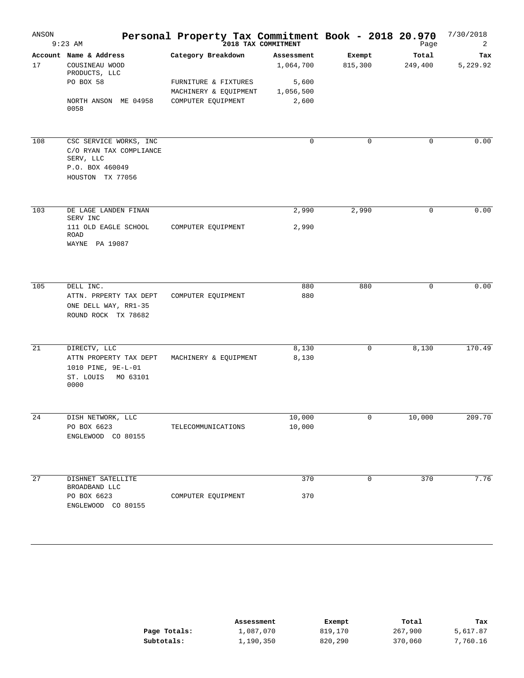| ANSON | $9:23$ AM                                                                                             | Personal Property Tax Commitment Book - 2018 20.970<br>2018 TAX COMMITMENT |                                  |                   | Page             | 7/30/2018<br>2  |
|-------|-------------------------------------------------------------------------------------------------------|----------------------------------------------------------------------------|----------------------------------|-------------------|------------------|-----------------|
| 17    | Account Name & Address<br>COUSINEAU WOOD<br>PRODUCTS, LLC<br>PO BOX 58                                | Category Breakdown<br>FURNITURE & FIXTURES                                 | Assessment<br>1,064,700<br>5,600 | Exempt<br>815,300 | Total<br>249,400 | Tax<br>5,229.92 |
|       | NORTH ANSON ME 04958<br>0058                                                                          | MACHINERY & EQUIPMENT<br>COMPUTER EQUIPMENT                                | 1,056,500<br>2,600               |                   |                  |                 |
| 108   | CSC SERVICE WORKS, INC<br>C/O RYAN TAX COMPLIANCE<br>SERV, LLC<br>P.O. BOX 460049<br>HOUSTON TX 77056 |                                                                            | $\mathbf 0$                      | $\mathbf 0$       | $\mathbf 0$      | 0.00            |
| 103   | DE LAGE LANDEN FINAN<br>SERV INC<br>111 OLD EAGLE SCHOOL                                              | COMPUTER EQUIPMENT                                                         | 2,990<br>2,990                   | 2,990             | 0                | 0.00            |
|       | ROAD<br>WAYNE PA 19087                                                                                |                                                                            |                                  |                   |                  |                 |
| 105   | DELL INC.<br>ATTN. PRPERTY TAX DEPT<br>ONE DELL WAY, RR1-35<br>ROUND ROCK TX 78682                    | COMPUTER EQUIPMENT                                                         | 880<br>880                       | 880               | 0                | 0.00            |
| 21    | DIRECTV, LLC<br>ATTN PROPERTY TAX DEPT<br>1010 PINE, 9E-L-01<br>ST. LOUIS<br>MO 63101<br>0000         | MACHINERY & EQUIPMENT                                                      | 8,130<br>8,130                   | 0                 | 8,130            | 170.49          |
| 24    | DISH NETWORK, LLC<br>PO BOX 6623<br>ENGLEWOOD CO 80155                                                | TELECOMMUNICATIONS                                                         | 10,000<br>10,000                 | 0                 | 10,000           | 209.70          |
| 27    | DISHNET SATELLITE                                                                                     |                                                                            | 370                              | 0                 | 370              | 7.76            |
|       | BROADBAND LLC<br>PO BOX 6623<br>ENGLEWOOD CO 80155                                                    | COMPUTER EQUIPMENT                                                         | 370                              |                   |                  |                 |

|              | Assessment | Exempt  | Total   | Tax      |
|--------------|------------|---------|---------|----------|
| Page Totals: | 1,087,070  | 819,170 | 267,900 | 5,617.87 |
| Subtotals:   | 1,190,350  | 820,290 | 370,060 | 7,760.16 |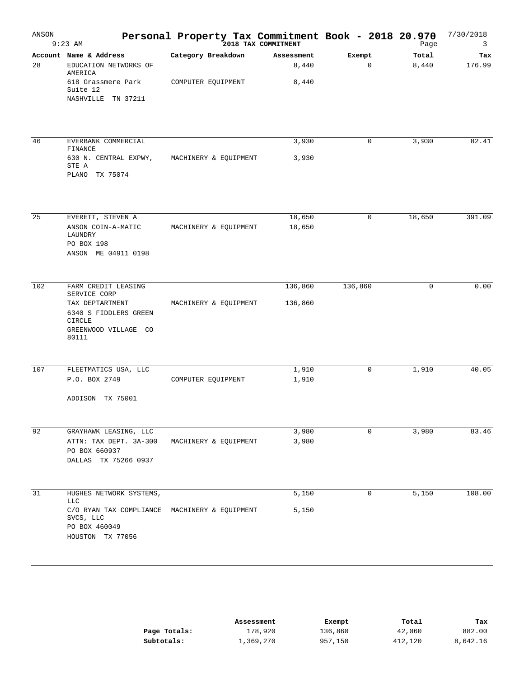| ANSON | $9:23$ AM                                                                                                                         | Personal Property Tax Commitment Book - 2018 20.970<br>2018 TAX COMMITMENT |                              |                       | Page           | 7/30/2018<br>3 |
|-------|-----------------------------------------------------------------------------------------------------------------------------------|----------------------------------------------------------------------------|------------------------------|-----------------------|----------------|----------------|
| 28    | Account Name & Address<br>EDUCATION NETWORKS OF<br>AMERICA<br>618 Grassmere Park<br>Suite 12<br>NASHVILLE TN 37211                | Category Breakdown<br>COMPUTER EQUIPMENT                                   | Assessment<br>8,440<br>8,440 | Exempt<br>$\mathbf 0$ | Total<br>8,440 | Tax<br>176.99  |
| 46    | EVERBANK COMMERCIAL<br>FINANCE<br>630 N. CENTRAL EXPWY,<br>STE A<br>TX 75074<br>PLANO                                             | MACHINERY & EQUIPMENT                                                      | 3,930<br>3,930               | 0                     | 3,930          | 82.41          |
| 25    | EVERETT, STEVEN A<br>ANSON COIN-A-MATIC<br>LAUNDRY<br>PO BOX 198<br>ANSON ME 04911 0198                                           | MACHINERY & EQUIPMENT                                                      | 18,650<br>18,650             | $\mathbf 0$           | 18,650         | 391.09         |
| 102   | FARM CREDIT LEASING<br>SERVICE CORP<br>TAX DEPTARTMENT<br>6340 S FIDDLERS GREEN<br><b>CIRCLE</b><br>GREENWOOD VILLAGE CO<br>80111 | MACHINERY & EQUIPMENT                                                      | 136,860<br>136,860           | 136,860               | 0              | 0.00           |
| 107   | FLEETMATICS USA, LLC<br>P.O. BOX 2749<br>ADDISON<br>TX 75001                                                                      | COMPUTER EQUIPMENT                                                         | 1,910<br>1,910               | 0                     | 1,910          | 40.05          |
| 92    | GRAYHAWK LEASING, LLC<br>ATTN: TAX DEPT. 3A-300<br>PO BOX 660937<br>DALLAS TX 75266 0937                                          | MACHINERY & EQUIPMENT                                                      | 3,980<br>3,980               | 0                     | 3,980          | 83.46          |
| 31    | HUGHES NETWORK SYSTEMS,<br><b>LLC</b><br>C/O RYAN TAX COMPLIANCE<br>SVCS, LLC<br>PO BOX 460049<br>HOUSTON TX 77056                | MACHINERY & EQUIPMENT                                                      | 5,150<br>5,150               | $\mathbf 0$           | 5,150          | 108.00         |

|              | Assessment | Exempt  | Total   | Tax      |
|--------------|------------|---------|---------|----------|
| Page Totals: | 178,920    | 136,860 | 42,060  | 882.00   |
| Subtotals:   | 1,369,270  | 957,150 | 412,120 | 8,642.16 |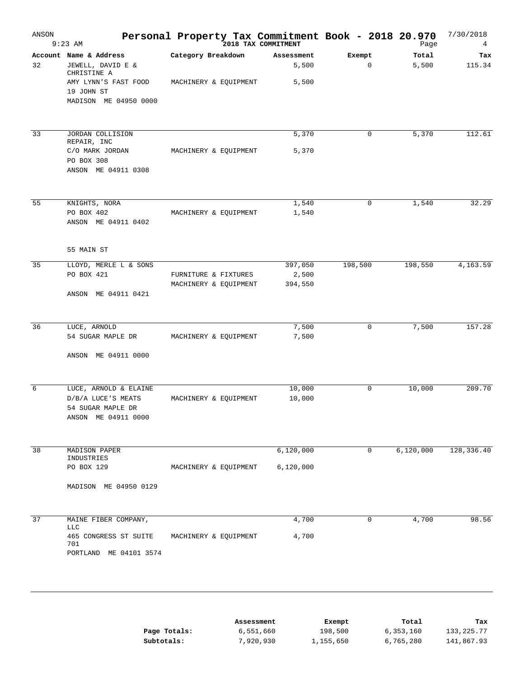| ANSON | $9:23$ AM                                                                               | Personal Property Tax Commitment Book - 2018 20.970 | 2018 TAX COMMITMENT          |             | Page           | 7/30/2018<br>4 |
|-------|-----------------------------------------------------------------------------------------|-----------------------------------------------------|------------------------------|-------------|----------------|----------------|
| 32    | Account Name & Address<br>JEWELL, DAVID E &<br>CHRISTINE A<br>AMY LYNN'S FAST FOOD      | Category Breakdown<br>MACHINERY & EQUIPMENT         | Assessment<br>5,500<br>5,500 | Exempt<br>0 | Total<br>5,500 | Tax<br>115.34  |
|       | 19 JOHN ST<br>MADISON ME 04950 0000                                                     |                                                     |                              |             |                |                |
| 33    | JORDAN COLLISION<br>REPAIR, INC                                                         |                                                     | 5,370                        | 0           | 5,370          | 112.61         |
|       | C/O MARK JORDAN<br>PO BOX 308<br>ANSON ME 04911 0308                                    | MACHINERY & EQUIPMENT                               | 5,370                        |             |                |                |
| 55    | KNIGHTS, NORA                                                                           |                                                     | 1,540                        | 0           | 1,540          | 32.29          |
|       | PO BOX 402<br>ANSON ME 04911 0402                                                       | MACHINERY & EQUIPMENT                               | 1,540                        |             |                |                |
|       | 55 MAIN ST                                                                              |                                                     |                              |             |                |                |
| 35    | LLOYD, MERLE L & SONS<br>PO BOX 421                                                     | FURNITURE & FIXTURES<br>MACHINERY & EQUIPMENT       | 397,050<br>2,500<br>394,550  | 198,500     | 198,550        | 4,163.59       |
|       | ANSON ME 04911 0421                                                                     |                                                     |                              |             |                |                |
| 36    | LUCE, ARNOLD                                                                            |                                                     | 7,500                        | 0           | 7,500          | 157.28         |
|       | 54 SUGAR MAPLE DR<br>ANSON ME 04911 0000                                                | MACHINERY & EQUIPMENT                               | 7,500                        |             |                |                |
| 6     |                                                                                         |                                                     | 10,000                       | 0           | 10,000         | 209.70         |
|       | LUCE, ARNOLD & ELAINE<br>D/B/A LUCE'S MEATS<br>54 SUGAR MAPLE DR<br>ANSON ME 04911 0000 | MACHINERY & EQUIPMENT                               | 10,000                       |             |                |                |
| 38    | MADISON PAPER                                                                           |                                                     | 6,120,000                    | $\mathbf 0$ | 6,120,000      | 128,336.40     |
|       | INDUSTRIES<br>PO BOX 129                                                                | MACHINERY & EQUIPMENT                               | 6,120,000                    |             |                |                |
|       | MADISON ME 04950 0129                                                                   |                                                     |                              |             |                |                |
| 37    | MAINE FIBER COMPANY,                                                                    |                                                     | 4,700                        | 0           | 4,700          | 98.56          |
|       | <b>LLC</b><br>465 CONGRESS ST SUITE<br>701<br>PORTLAND ME 04101 3574                    | MACHINERY & EQUIPMENT                               | 4,700                        |             |                |                |
|       |                                                                                         |                                                     | Assessment                   | Exempt      | Total          | Tax            |
|       |                                                                                         | Page Totals:                                        | 6,551,660                    | 198,500     | 6,353,160      | 133, 225. 77   |

7,920,930

1,155,650

6,765,280

141,867.93

**Subtotals:**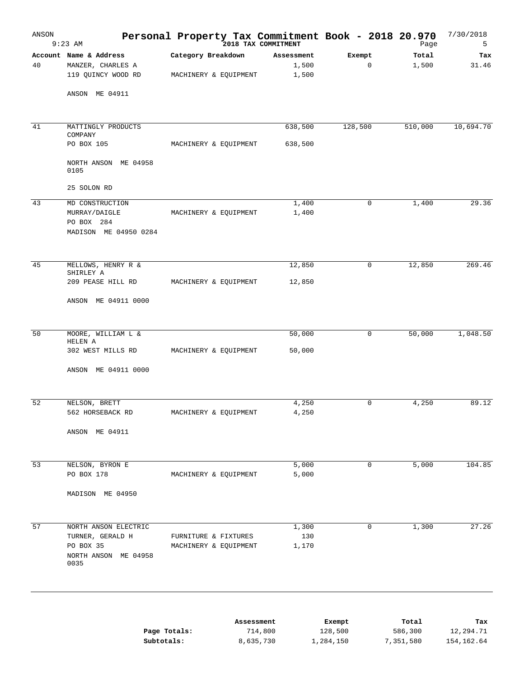| ANSON | $9:23$ AM                               | Personal Property Tax Commitment Book - 2018 20.970 | 2018 TAX COMMITMENT |             | Page      | 7/30/2018<br>5 |
|-------|-----------------------------------------|-----------------------------------------------------|---------------------|-------------|-----------|----------------|
|       | Account Name & Address                  | Category Breakdown                                  | Assessment          | Exempt      | Total     | Tax            |
| 40    | MANZER, CHARLES A<br>119 QUINCY WOOD RD | MACHINERY & EQUIPMENT                               | 1,500<br>1,500      | 0           | 1,500     | 31.46          |
|       |                                         |                                                     |                     |             |           |                |
|       | ANSON ME 04911                          |                                                     |                     |             |           |                |
| 41    | MATTINGLY PRODUCTS                      |                                                     | 638,500             | 128,500     | 510,000   | 10,694.70      |
|       | COMPANY<br>PO BOX 105                   | MACHINERY & EQUIPMENT                               | 638,500             |             |           |                |
|       |                                         |                                                     |                     |             |           |                |
|       | NORTH ANSON ME 04958<br>0105            |                                                     |                     |             |           |                |
|       | 25 SOLON RD                             |                                                     |                     |             |           |                |
| 43    | MD CONSTRUCTION                         |                                                     | 1,400               | 0           | 1,400     | 29.36          |
|       | MURRAY/DAIGLE                           | MACHINERY & EQUIPMENT                               | 1,400               |             |           |                |
|       | PO BOX 284                              |                                                     |                     |             |           |                |
|       | MADISON ME 04950 0284                   |                                                     |                     |             |           |                |
| 45    | MELLOWS, HENRY R &                      |                                                     | 12,850              | 0           | 12,850    | 269.46         |
|       | SHIRLEY A<br>209 PEASE HILL RD          | MACHINERY & EQUIPMENT                               | 12,850              |             |           |                |
|       |                                         |                                                     |                     |             |           |                |
|       | ANSON ME 04911 0000                     |                                                     |                     |             |           |                |
| 50    | MOORE, WILLIAM L &                      |                                                     | 50,000              | 0           | 50,000    | 1,048.50       |
|       | HELEN A                                 |                                                     |                     |             |           |                |
|       | 302 WEST MILLS RD                       | MACHINERY & EQUIPMENT                               | 50,000              |             |           |                |
|       | ANSON ME 04911 0000                     |                                                     |                     |             |           |                |
| 52    | NELSON, BRETT                           |                                                     | 4,250               | 0           | 4,250     | 89.12          |
|       | 562 HORSEBACK RD                        | MACHINERY & EQUIPMENT                               | 4,250               |             |           |                |
|       |                                         |                                                     |                     |             |           |                |
|       | ANSON ME 04911                          |                                                     |                     |             |           |                |
| 53    | NELSON, BYRON E                         |                                                     | 5,000               | $\mathbf 0$ | 5,000     | 104.85         |
|       | PO BOX 178                              | MACHINERY & EQUIPMENT                               | 5,000               |             |           |                |
|       | MADISON ME 04950                        |                                                     |                     |             |           |                |
|       |                                         |                                                     |                     |             |           |                |
| 57    | NORTH ANSON ELECTRIC                    |                                                     | 1,300               | 0           | 1,300     | 27.26          |
|       | TURNER, GERALD H                        | FURNITURE & FIXTURES                                | 130                 |             |           |                |
|       | PO BOX 35                               | MACHINERY & EQUIPMENT                               | 1,170               |             |           |                |
|       | NORTH ANSON ME 04958<br>0035            |                                                     |                     |             |           |                |
|       |                                         |                                                     |                     |             |           |                |
|       |                                         | Assessment                                          |                     | Exempt      | Total     | Tax            |
|       |                                         | Page Totals:<br>714,800                             |                     | 128,500     | 586,300   | 12,294.71      |
|       |                                         | Subtotals:<br>8,635,730                             |                     | 1,284,150   | 7,351,580 | 154, 162.64    |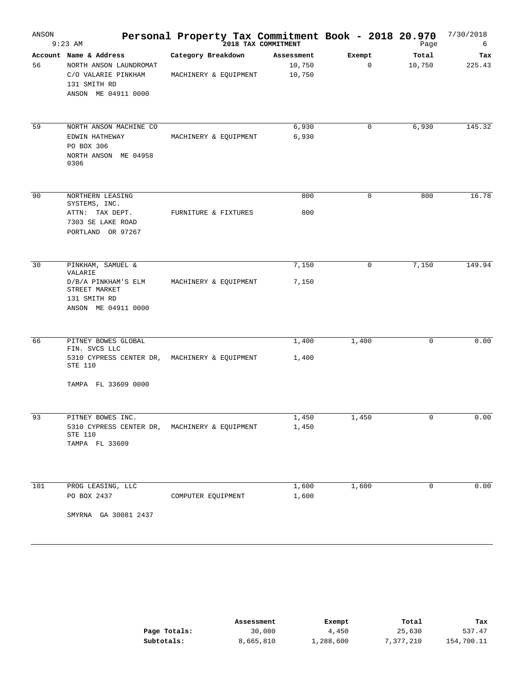| ANSON | $9:23$ AM                                                                                                               | Personal Property Tax Commitment Book - 2018 20.970 | 2018 TAX COMMITMENT            |             | Page            | 7/30/2018<br>6 |
|-------|-------------------------------------------------------------------------------------------------------------------------|-----------------------------------------------------|--------------------------------|-------------|-----------------|----------------|
| 56    | Account Name & Address<br>NORTH ANSON LAUNDROMAT<br>C/O VALARIE PINKHAM<br>131 SMITH RD<br>ANSON ME 04911 0000          | Category Breakdown<br>MACHINERY & EQUIPMENT         | Assessment<br>10,750<br>10,750 | Exempt<br>0 | Total<br>10,750 | Tax<br>225.43  |
| 59    | NORTH ANSON MACHINE CO<br>EDWIN HATHEWAY<br>PO BOX 306<br>NORTH ANSON ME 04958<br>0306                                  | MACHINERY & EQUIPMENT                               | 6,930<br>6,930                 | $\mathbf 0$ | 6,930           | 145.32         |
| 90    | NORTHERN LEASING<br>SYSTEMS, INC.<br>ATTN: TAX DEPT.<br>7303 SE LAKE ROAD<br>PORTLAND OR 97267                          | FURNITURE & FIXTURES                                | 800<br>800                     | 0           | 800             | 16.78          |
| 30    | PINKHAM, SAMUEL &<br>VALARIE<br>D/B/A PINKHAM'S ELM<br>STREET MARKET<br>131 SMITH RD<br>ANSON ME 04911 0000             | MACHINERY & EQUIPMENT                               | 7,150<br>7,150                 | 0           | 7,150           | 149.94         |
| 66    | PITNEY BOWES GLOBAL<br>FIN. SVCS LLC<br>5310 CYPRESS CENTER DR, MACHINERY & EQUIPMENT<br>STE 110<br>TAMPA FL 33609 0000 |                                                     | 1,400<br>1,400                 | 1,400       | $\mathbf 0$     | 0.00           |
| 93    | PITNEY BOWES INC.<br>5310 CYPRESS CENTER DR,<br>STE 110<br>TAMPA FL 33609                                               | MACHINERY & EQUIPMENT                               | 1,450<br>1,450                 | 1,450       | $\mathsf 0$     | 0.00           |
| 101   | PROG LEASING, LLC<br>PO BOX 2437<br>SMYRNA GA 30081 2437                                                                | COMPUTER EQUIPMENT                                  | 1,600<br>1,600                 | 1,600       | 0               | 0.00           |

|              | Assessment | Exempt    | Total     | Tax        |
|--------------|------------|-----------|-----------|------------|
| Page Totals: | 30,080     | 4,450     | 25,630    | 537.47     |
| Subtotals:   | 8,665,810  | 1,288,600 | 7,377,210 | 154,700.11 |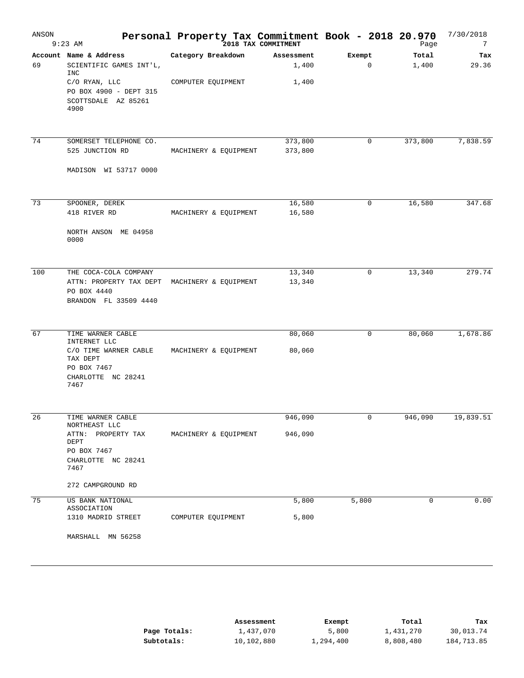| ANSON | $9:23$ AM                                                                                                                                 | Personal Property Tax Commitment Book - 2018 20.970<br>2018 TAX COMMITMENT |                              |                       | Page           | 7/30/2018<br>7 |
|-------|-------------------------------------------------------------------------------------------------------------------------------------------|----------------------------------------------------------------------------|------------------------------|-----------------------|----------------|----------------|
| 69    | Account Name & Address<br>SCIENTIFIC GAMES INT'L,<br><b>INC</b><br>C/O RYAN, LLC<br>PO BOX 4900 - DEPT 315<br>SCOTTSDALE AZ 85261<br>4900 | Category Breakdown<br>COMPUTER EQUIPMENT                                   | Assessment<br>1,400<br>1,400 | Exempt<br>$\mathbf 0$ | Total<br>1,400 | Tax<br>29.36   |
| 74    | SOMERSET TELEPHONE CO.<br>525 JUNCTION RD<br>MADISON WI 53717 0000                                                                        | MACHINERY & EQUIPMENT                                                      | 373,800<br>373,800           | 0                     | 373,800        | 7,838.59       |
| 73    | SPOONER, DEREK<br>418 RIVER RD<br>NORTH ANSON ME 04958<br>0000                                                                            | MACHINERY & EQUIPMENT                                                      | 16,580<br>16,580             | $\mathbf 0$           | 16,580         | 347.68         |
| 100   | THE COCA-COLA COMPANY<br>ATTN: PROPERTY TAX DEPT MACHINERY & EQUIPMENT<br>PO BOX 4440<br>BRANDON FL 33509 4440                            |                                                                            | 13,340<br>13,340             | 0                     | 13,340         | 279.74         |
| 67    | TIME WARNER CABLE<br>INTERNET LLC<br>C/O TIME WARNER CABLE<br>TAX DEPT<br>PO BOX 7467<br>CHARLOTTE NC 28241<br>7467                       | MACHINERY & EQUIPMENT                                                      | 80,060<br>80,060             | 0                     | 80,060         | 1,678.86       |
| 26    | TIME WARNER CABLE<br>NORTHEAST LLC<br>ATTN: PROPERTY TAX<br>DEPT<br>PO BOX 7467<br>CHARLOTTE NC 28241<br>7467<br>272 CAMPGROUND RD        | MACHINERY & EQUIPMENT                                                      | 946,090<br>946,090           | 0                     | 946,090        | 19,839.51      |
| 75    | US BANK NATIONAL<br>ASSOCIATION<br>1310 MADRID STREET<br>MARSHALL MN 56258                                                                | COMPUTER EQUIPMENT                                                         | 5,800<br>5,800               | 5,800                 | 0              | 0.00           |

|              | Assessment | Exempt    | Total     | Tax        |
|--------------|------------|-----------|-----------|------------|
| Page Totals: | 1,437,070  | 5,800     | 1,431,270 | 30,013.74  |
| Subtotals:   | 10,102,880 | 1,294,400 | 8,808,480 | 184,713.85 |